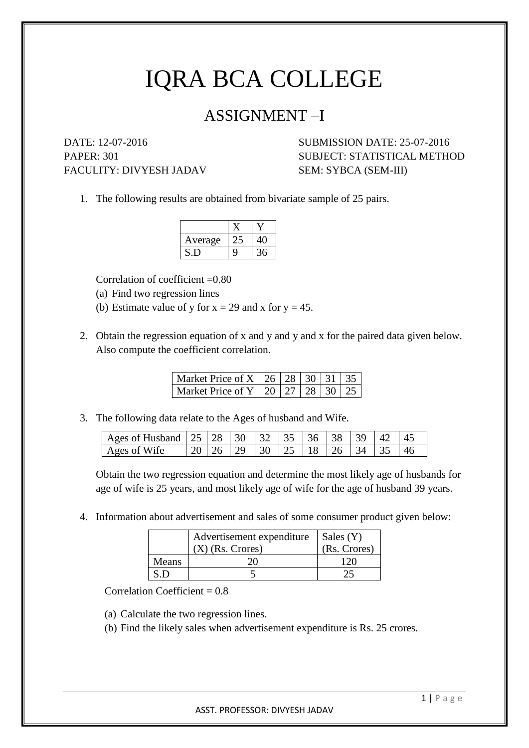## IQRA BCA COLLEGE

## ASSIGNMENT –I

FACULITY: DIVYESH JADAV SEM: SYBCA (SEM-III)

DATE: 12-07-2016 SUBMISSION DATE: 25-07-2016 PAPER: 301 SUBJECT: STATISTICAL METHOD

1. The following results are obtained from bivariate sample of 25 pairs.

| Average |   |   |
|---------|---|---|
|         | q | 6 |

Correlation of coefficient  $=0.80$ 

- (a) Find two regression lines
- (b) Estimate value of y for  $x = 29$  and x for  $y = 45$ .
- 2. Obtain the regression equation of x and y and y and x for the paired data given below. Also compute the coefficient correlation.

| Market Price of X   26   28   30   31   35 |  |  |  |
|--------------------------------------------|--|--|--|
| Market Price of Y   20   27   28   30   25 |  |  |  |

3. The following data relate to the Ages of husband and Wife.

| Ages of Husband $\mid 25 \mid 28 \mid 30 \mid 32 \mid 35 \mid 36 \mid 38 \mid 39 \mid 42 \mid 45$ |  |                                                                                                     |  |  |  |  |
|---------------------------------------------------------------------------------------------------|--|-----------------------------------------------------------------------------------------------------|--|--|--|--|
| Ages of Wife                                                                                      |  | $\mid$ 20 $\mid$ 26 $\mid$ 29 $\mid$ 30 $\mid$ 25 $\mid$ 18 $\mid$ 26 $\mid$ 34 $\mid$ 35 $\mid$ 46 |  |  |  |  |

Obtain the two regression equation and determine the most likely age of husbands for age of wife is 25 years, and most likely age of wife for the age of husband 39 years.

4. Information about advertisement and sales of some consumer product given below:

|       | Advertisement expenditure | Sales (Y)    |
|-------|---------------------------|--------------|
|       | $(X)$ (Rs. Crores)        | (Rs. Crores) |
| Means |                           |              |
|       |                           |              |

Correlation Coefficient  $= 0.8$ 

(a) Calculate the two regression lines.

(b) Find the likely sales when advertisement expenditure is Rs. 25 crores.